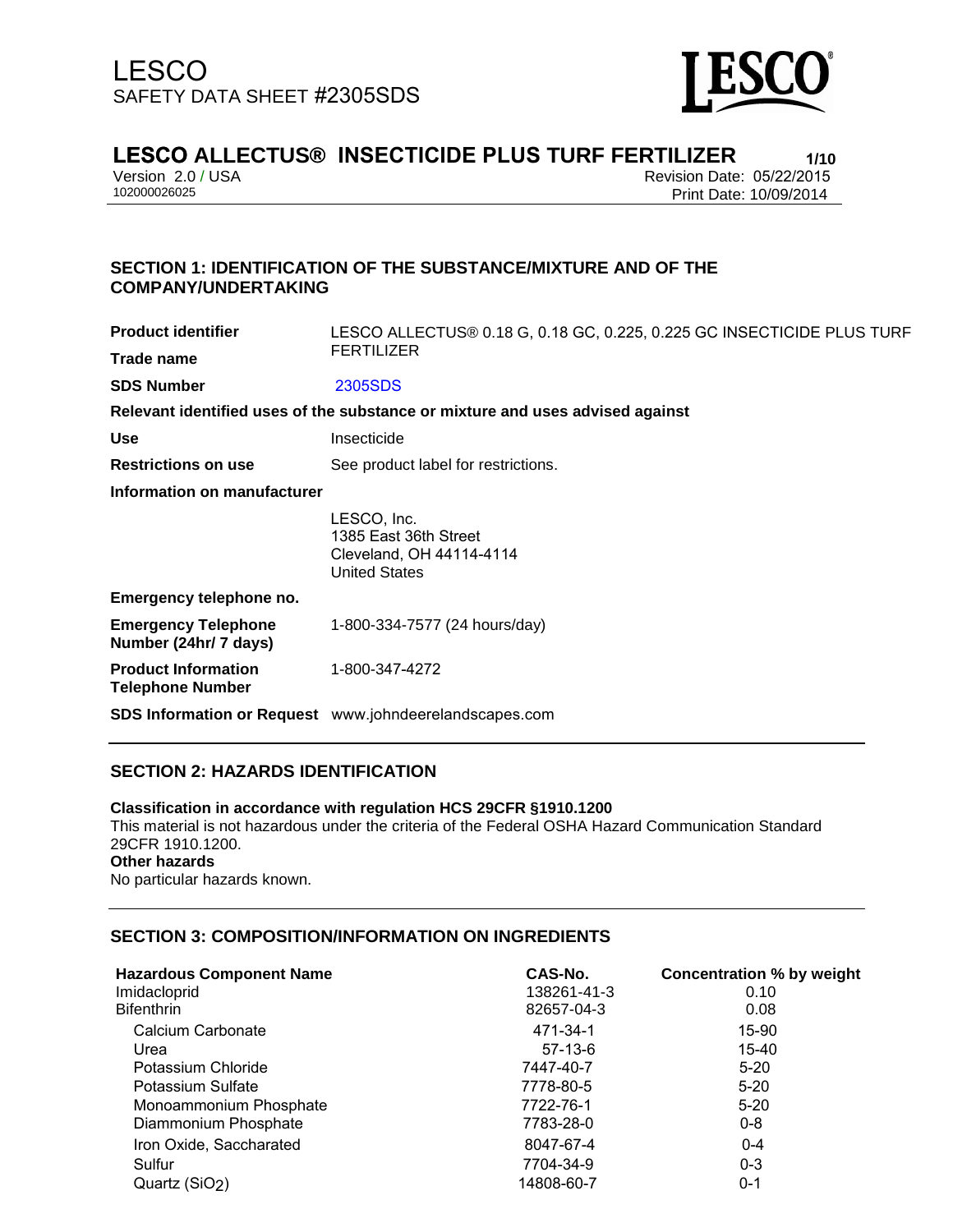

# **LESCO ALLECTUS® INSECTICIDE PLUS TURF FERTILIZER**<br>Version 2.0 / USA<br>Revision Date: 05/22/2015

Version 2.0 / USA Revision Date: 05/22/2015

Print Date: 10/09/2014

### **SECTION 1: IDENTIFICATION OF THE SUBSTANCE/MIXTURE AND OF THE COMPANY/UNDERTAKING**

| <b>Product identifier</b>                             | LESCO ALLECTUS® 0.18 G, 0.18 GC, 0.225, 0.225 GC INSECTICIDE PLUS TURF<br><b>FERTILIZER</b> |  |
|-------------------------------------------------------|---------------------------------------------------------------------------------------------|--|
| Trade name                                            |                                                                                             |  |
| <b>SDS Number</b>                                     | 2305SDS                                                                                     |  |
|                                                       | Relevant identified uses of the substance or mixture and uses advised against               |  |
| <b>Use</b>                                            | Insecticide                                                                                 |  |
| <b>Restrictions on use</b>                            | See product label for restrictions.                                                         |  |
| Information on manufacturer                           |                                                                                             |  |
|                                                       | LESCO, Inc.<br>1385 East 36th Street<br>Cleveland, OH 44114-4114<br><b>United States</b>    |  |
| Emergency telephone no.                               |                                                                                             |  |
| <b>Emergency Telephone</b><br>Number (24hr/ 7 days)   | 1-800-334-7577 (24 hours/day)                                                               |  |
| <b>Product Information</b><br><b>Telephone Number</b> | 1-800-347-4272                                                                              |  |
|                                                       | <b>SDS Information or Request</b> www.johndeerelandscapes.com                               |  |

## **SECTION 2: HAZARDS IDENTIFICATION**

## **Classification in accordance with regulation HCS 29CFR §1910.1200**

This material is not hazardous under the criteria of the Federal OSHA Hazard Communication Standard 29CFR 1910.1200. **Other hazards**

No particular hazards known.

### **SECTION 3: COMPOSITION/INFORMATION ON INGREDIENTS**

| <b>Hazardous Component Name</b> | CAS-No.     | Concentration % by weight |
|---------------------------------|-------------|---------------------------|
| Imidacloprid                    | 138261-41-3 | 0.10                      |
| <b>Bifenthrin</b>               | 82657-04-3  | 0.08                      |
| Calcium Carbonate               | 471-34-1    | 15-90                     |
| Urea                            | $57-13-6$   | 15-40                     |
| Potassium Chloride              | 7447-40-7   | $5-20$                    |
| Potassium Sulfate               | 7778-80-5   | $5-20$                    |
| Monoammonium Phosphate          | 7722-76-1   | $5-20$                    |
| Diammonium Phosphate            | 7783-28-0   | $0 - 8$                   |
| Iron Oxide, Saccharated         | 8047-67-4   | $0 - 4$                   |
| Sulfur                          | 7704-34-9   | $0 - 3$                   |
| Quartz (SiO2)                   | 14808-60-7  | 0-1                       |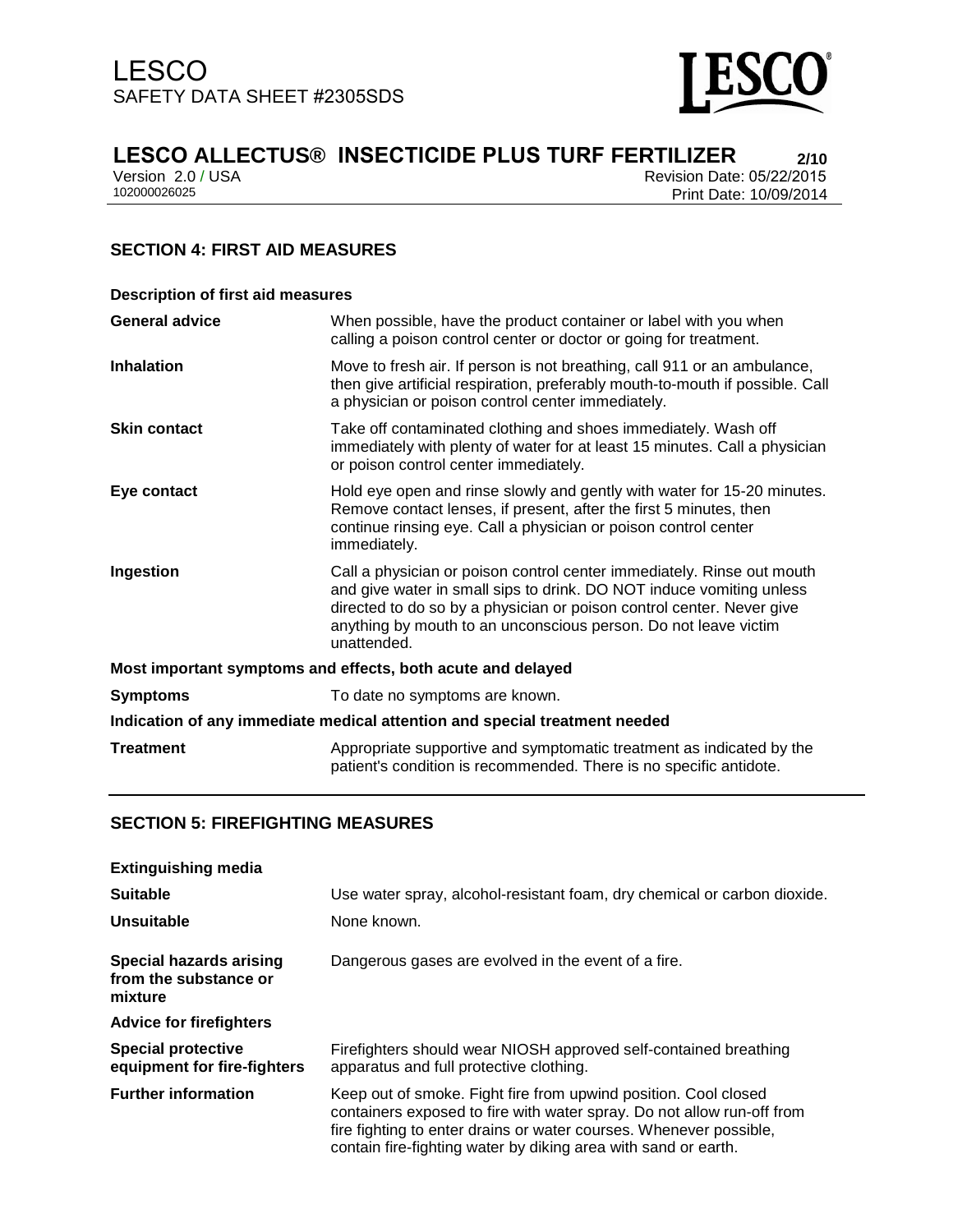

# **LESCO ALLECTUS® INSECTICIDE PLUS TURF FERTILIZER**<br> **Prevision 2.0/USA** Perision Date: 05/22/2015

Version 2.0 / USA Revision Date: 05/22/2015<br>102000026025 Print Date: 10/09/2014 Print Date: 10/09/2014

## **SECTION 4: FIRST AID MEASURES**

| <b>Description of first aid measures</b>                                   |                                                                                                                                                                                                                                                                                                           |  |
|----------------------------------------------------------------------------|-----------------------------------------------------------------------------------------------------------------------------------------------------------------------------------------------------------------------------------------------------------------------------------------------------------|--|
| <b>General advice</b>                                                      | When possible, have the product container or label with you when<br>calling a poison control center or doctor or going for treatment.                                                                                                                                                                     |  |
| <b>Inhalation</b>                                                          | Move to fresh air. If person is not breathing, call 911 or an ambulance,<br>then give artificial respiration, preferably mouth-to-mouth if possible. Call<br>a physician or poison control center immediately.                                                                                            |  |
| <b>Skin contact</b>                                                        | Take off contaminated clothing and shoes immediately. Wash off<br>immediately with plenty of water for at least 15 minutes. Call a physician<br>or poison control center immediately.                                                                                                                     |  |
| Eye contact                                                                | Hold eye open and rinse slowly and gently with water for 15-20 minutes.<br>Remove contact lenses, if present, after the first 5 minutes, then<br>continue rinsing eye. Call a physician or poison control center<br>immediately.                                                                          |  |
| Ingestion                                                                  | Call a physician or poison control center immediately. Rinse out mouth<br>and give water in small sips to drink. DO NOT induce vomiting unless<br>directed to do so by a physician or poison control center. Never give<br>anything by mouth to an unconscious person. Do not leave victim<br>unattended. |  |
| Most important symptoms and effects, both acute and delayed                |                                                                                                                                                                                                                                                                                                           |  |
| <b>Symptoms</b>                                                            | To date no symptoms are known.                                                                                                                                                                                                                                                                            |  |
| Indication of any immediate medical attention and special treatment needed |                                                                                                                                                                                                                                                                                                           |  |
| <b>Treatment</b>                                                           | Appropriate supportive and symptomatic treatment as indicated by the<br>patient's condition is recommended. There is no specific antidote.                                                                                                                                                                |  |

### **SECTION 5: FIREFIGHTING MEASURES**

| <b>Extinguishing media</b>                                         |                                                                                                                                                                                                                                                                                   |
|--------------------------------------------------------------------|-----------------------------------------------------------------------------------------------------------------------------------------------------------------------------------------------------------------------------------------------------------------------------------|
| <b>Suitable</b>                                                    | Use water spray, alcohol-resistant foam, dry chemical or carbon dioxide.                                                                                                                                                                                                          |
| Unsuitable                                                         | None known.                                                                                                                                                                                                                                                                       |
| <b>Special hazards arising</b><br>from the substance or<br>mixture | Dangerous gases are evolved in the event of a fire.                                                                                                                                                                                                                               |
| <b>Advice for firefighters</b>                                     |                                                                                                                                                                                                                                                                                   |
| <b>Special protective</b><br>equipment for fire-fighters           | Firefighters should wear NIOSH approved self-contained breathing<br>apparatus and full protective clothing.                                                                                                                                                                       |
| <b>Further information</b>                                         | Keep out of smoke. Fight fire from upwind position. Cool closed<br>containers exposed to fire with water spray. Do not allow run-off from<br>fire fighting to enter drains or water courses. Whenever possible,<br>contain fire-fighting water by diking area with sand or earth. |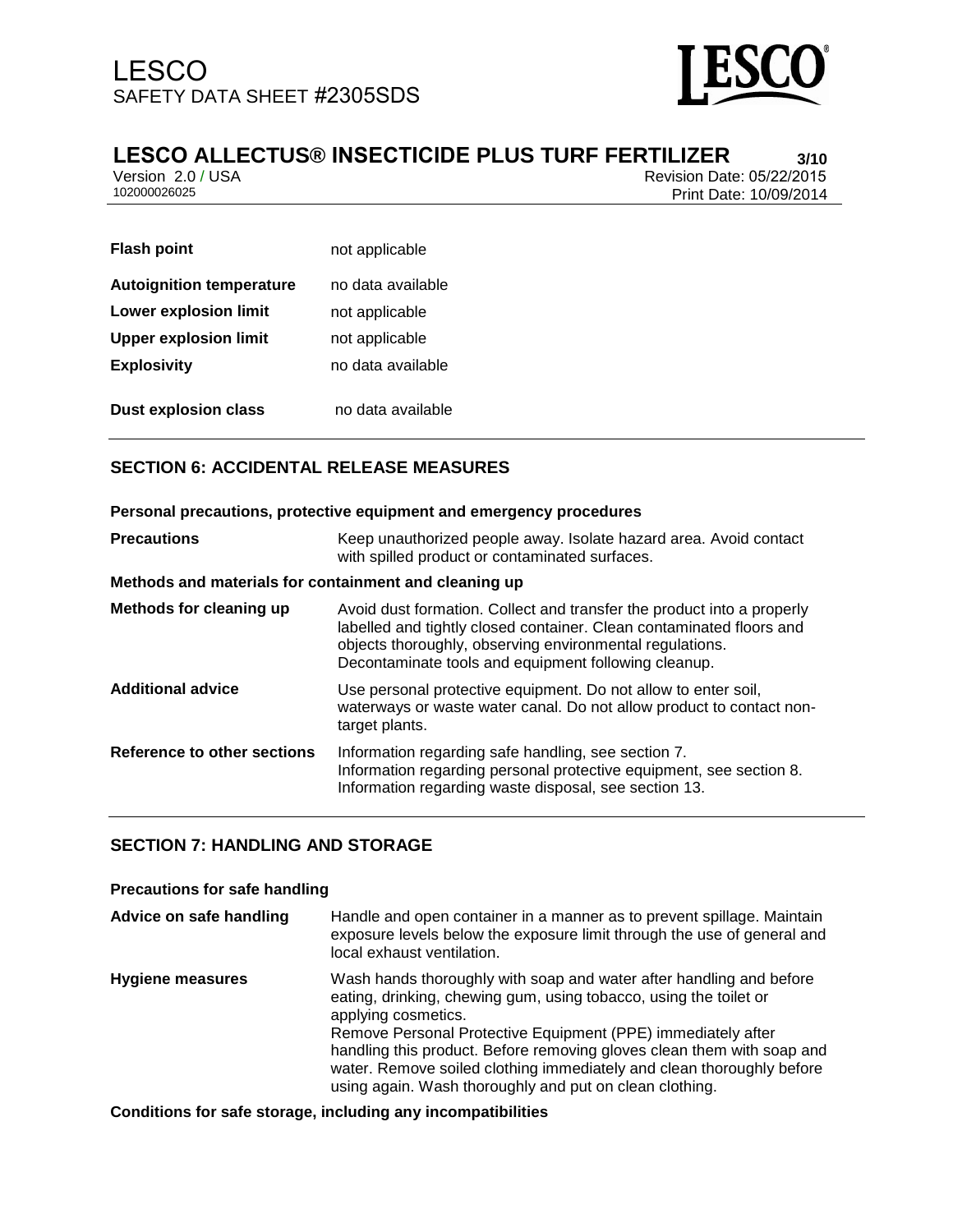

## **LESCO ALLECTUS® INSECTICIDE PLUS TURF FERTILIZER 3/10**

Version 2.0 / USA Revision Date: 05/22/2015<br>102000026025 Print Date: 10/09/2014 Print Date: 10/09/2014

| <b>Flash point</b>              | not applicable    |
|---------------------------------|-------------------|
| <b>Autoignition temperature</b> | no data available |
| <b>Lower explosion limit</b>    | not applicable    |
| <b>Upper explosion limit</b>    | not applicable    |
| <b>Explosivity</b>              | no data available |
| <b>Dust explosion class</b>     | no data available |

## **SECTION 6: ACCIDENTAL RELEASE MEASURES**

| Personal precautions, protective equipment and emergency procedures |                                                                                                                                                                                                                                                                    |  |
|---------------------------------------------------------------------|--------------------------------------------------------------------------------------------------------------------------------------------------------------------------------------------------------------------------------------------------------------------|--|
| <b>Precautions</b>                                                  | Keep unauthorized people away. Isolate hazard area. Avoid contact<br>with spilled product or contaminated surfaces.                                                                                                                                                |  |
| Methods and materials for containment and cleaning up               |                                                                                                                                                                                                                                                                    |  |
| Methods for cleaning up                                             | Avoid dust formation. Collect and transfer the product into a properly<br>labelled and tightly closed container. Clean contaminated floors and<br>objects thoroughly, observing environmental regulations.<br>Decontaminate tools and equipment following cleanup. |  |
| <b>Additional advice</b>                                            | Use personal protective equipment. Do not allow to enter soil,<br>waterways or waste water canal. Do not allow product to contact non-<br>target plants.                                                                                                           |  |
| Reference to other sections                                         | Information regarding safe handling, see section 7.<br>Information regarding personal protective equipment, see section 8.<br>Information regarding waste disposal, see section 13.                                                                                |  |

## **SECTION 7: HANDLING AND STORAGE**

#### **Precautions for safe handling**

| Advice on safe handling | Handle and open container in a manner as to prevent spillage. Maintain<br>exposure levels below the exposure limit through the use of general and<br>local exhaust ventilation.                                                                                                                                                                                                                                                               |
|-------------------------|-----------------------------------------------------------------------------------------------------------------------------------------------------------------------------------------------------------------------------------------------------------------------------------------------------------------------------------------------------------------------------------------------------------------------------------------------|
| <b>Hygiene measures</b> | Wash hands thoroughly with soap and water after handling and before<br>eating, drinking, chewing gum, using tobacco, using the toilet or<br>applying cosmetics.<br>Remove Personal Protective Equipment (PPE) immediately after<br>handling this product. Before removing gloves clean them with soap and<br>water. Remove soiled clothing immediately and clean thoroughly before<br>using again. Wash thoroughly and put on clean clothing. |

**Conditions for safe storage, including any incompatibilities**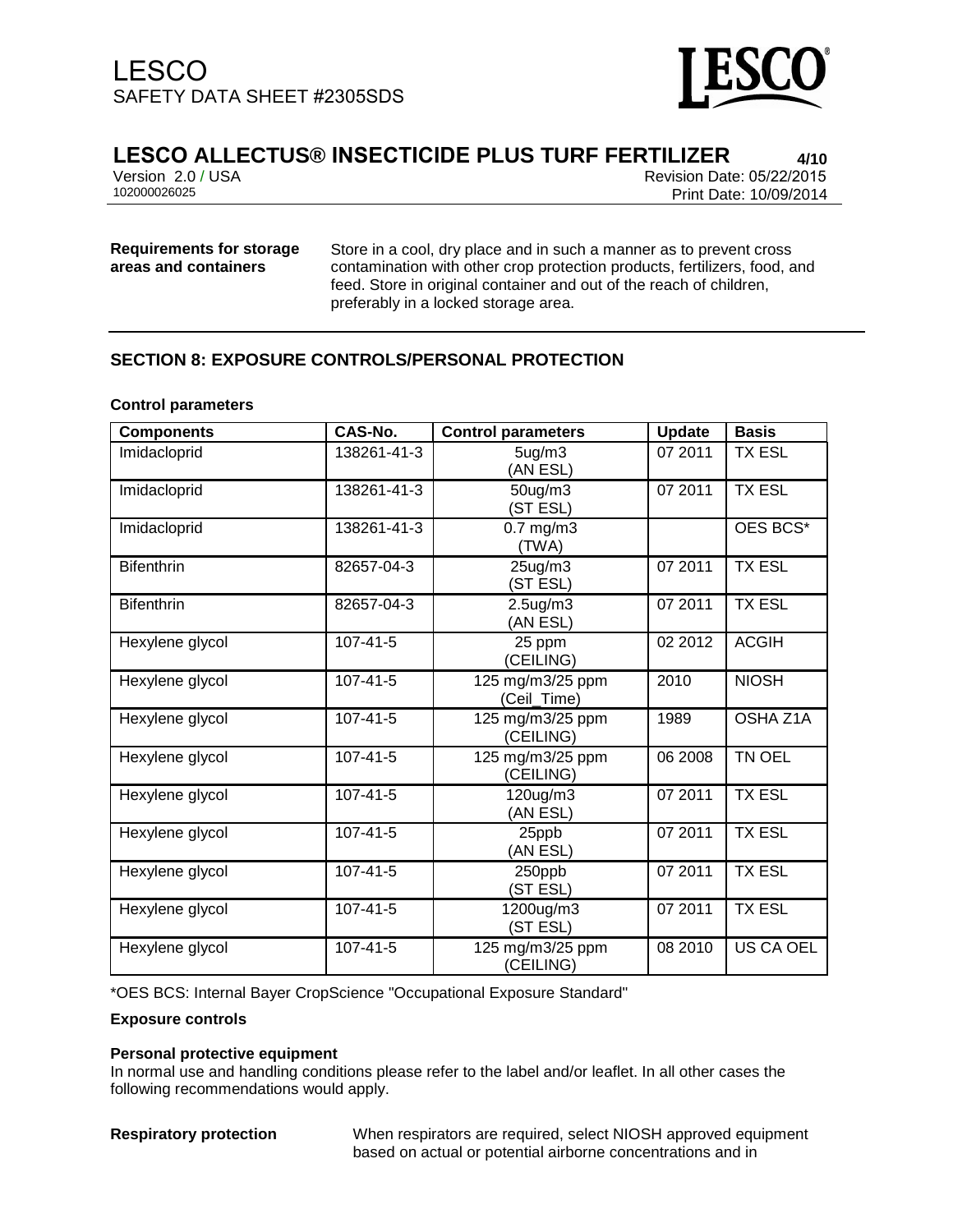

## **LESCO ALLECTUS® INSECTICIDE PLUS TURF FERTILIZER 4/10**

Version 2.0 / USA Revision Date: 05/22/2015<br>102000026025 Print Date: 10/09/2014 102000026025 Print Date: 10/09/2014

## **Requirements for storage areas and containers**

Store in a cool, dry place and in such a manner as to prevent cross contamination with other crop protection products, fertilizers, food, and feed. Store in original container and out of the reach of children, preferably in a locked storage area.

## **SECTION 8: EXPOSURE CONTROLS/PERSONAL PROTECTION**

#### **Control parameters**

| <b>Components</b> | CAS-No.        | <b>Control parameters</b>       | <b>Update</b> | <b>Basis</b>  |
|-------------------|----------------|---------------------------------|---------------|---------------|
| Imidacloprid      | 138261-41-3    | 5 <sub>uq</sub> /m3<br>(AN ESL) | 07 2011       | <b>TX ESL</b> |
| Imidacloprid      | 138261-41-3    | 50ug/m3<br>(ST ESL)             | 07 2011       | <b>TX ESL</b> |
| Imidacloprid      | 138261-41-3    | $0.7$ mg/m $3$<br>(TWA)         |               | OES BCS*      |
| <b>Bifenthrin</b> | 82657-04-3     | 25ug/m3<br>(ST ESL)             | 07 2011       | <b>TX ESL</b> |
| <b>Bifenthrin</b> | 82657-04-3     | $2.5$ ug/m $3$<br>(AN ESL)      | 07 2011       | <b>TX ESL</b> |
| Hexylene glycol   | $107 - 41 - 5$ | 25 ppm<br>(CEILING)             | 02 2012       | <b>ACGIH</b>  |
| Hexylene glycol   | $107 - 41 - 5$ | 125 mg/m3/25 ppm<br>(Ceil_Time) | 2010          | <b>NIOSH</b>  |
| Hexylene glycol   | $107 - 41 - 5$ | 125 mg/m3/25 ppm<br>(CEILING)   | 1989          | OSHA Z1A      |
| Hexylene glycol   | $107 - 41 - 5$ | 125 mg/m3/25 ppm<br>(CEILING)   | 06 2008       | TN OEL        |
| Hexylene glycol   | $107 - 41 - 5$ | 120ug/m3<br>(AN ESL)            | 07 2011       | <b>TX ESL</b> |
| Hexylene glycol   | 107-41-5       | 25ppb<br>(AN ESL)               | 07 2011       | <b>TX ESL</b> |
| Hexylene glycol   | $107 - 41 - 5$ | 250ppb<br>(ST ESL)              | 07 2011       | <b>TX ESL</b> |
| Hexylene glycol   | $107 - 41 - 5$ | 1200ug/m3<br>(ST ESL)           | 07 2011       | <b>TX ESL</b> |
| Hexylene glycol   | $107 - 41 - 5$ | 125 mg/m3/25 ppm<br>(CEILING)   | 08 2010       | US CA OEL     |

\*OES BCS: Internal Bayer CropScience "Occupational Exposure Standard"

#### **Exposure controls**

#### **Personal protective equipment**

In normal use and handling conditions please refer to the label and/or leaflet. In all other cases the following recommendations would apply.

**Respiratory protection** When respirators are required, select NIOSH approved equipment based on actual or potential airborne concentrations and in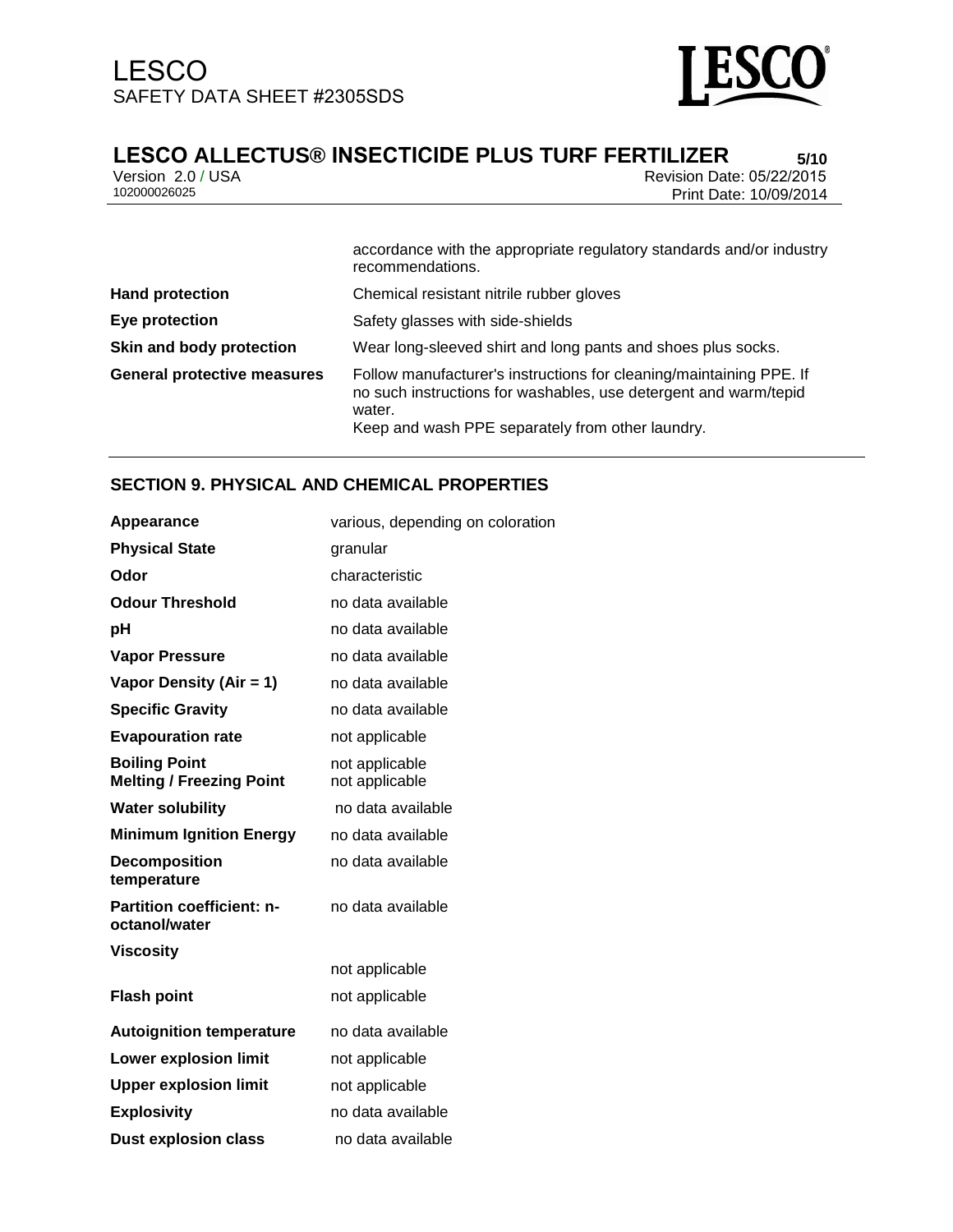

# **LESCO ALLECTUS® INSECTICIDE PLUS TURF FERTILIZER 5/10**

Version 2.0 / USA Revision Date: 05/22/2015<br>102000026025 Print Date: 10/09/2014 Print Date: 10/09/2014

|                                    | accordance with the appropriate regulatory standards and/or industry<br>recommendations.                                                                                                              |
|------------------------------------|-------------------------------------------------------------------------------------------------------------------------------------------------------------------------------------------------------|
| <b>Hand protection</b>             | Chemical resistant nitrile rubber gloves                                                                                                                                                              |
| Eye protection                     | Safety glasses with side-shields                                                                                                                                                                      |
| Skin and body protection           | Wear long-sleeved shirt and long pants and shoes plus socks.                                                                                                                                          |
| <b>General protective measures</b> | Follow manufacturer's instructions for cleaning/maintaining PPE. If<br>no such instructions for washables, use detergent and warm/tepid<br>water.<br>Keep and wash PPE separately from other laundry. |

### **SECTION 9. PHYSICAL AND CHEMICAL PROPERTIES**

| <b>Appearance</b>                                       | various, depending on coloration |
|---------------------------------------------------------|----------------------------------|
| <b>Physical State</b>                                   | granular                         |
| Odor                                                    | characteristic                   |
| <b>Odour Threshold</b>                                  | no data available                |
| рH                                                      | no data available                |
| <b>Vapor Pressure</b>                                   | no data available                |
| Vapor Density (Air = 1)                                 | no data available                |
| <b>Specific Gravity</b>                                 | no data available                |
| <b>Evapouration rate</b>                                | not applicable                   |
| <b>Boiling Point</b><br><b>Melting / Freezing Point</b> | not applicable<br>not applicable |
| <b>Water solubility</b>                                 | no data available                |
| <b>Minimum Ignition Energy</b>                          | no data available                |
| <b>Decomposition</b><br>temperature                     | no data available                |
| <b>Partition coefficient: n-</b><br>octanol/water       | no data available                |
| <b>Viscosity</b>                                        |                                  |
|                                                         | not applicable                   |
| <b>Flash point</b>                                      | not applicable                   |
| <b>Autoignition temperature</b>                         | no data available                |
| <b>Lower explosion limit</b>                            | not applicable                   |
| <b>Upper explosion limit</b>                            | not applicable                   |
| <b>Explosivity</b>                                      | no data available                |
| <b>Dust explosion class</b>                             | no data available                |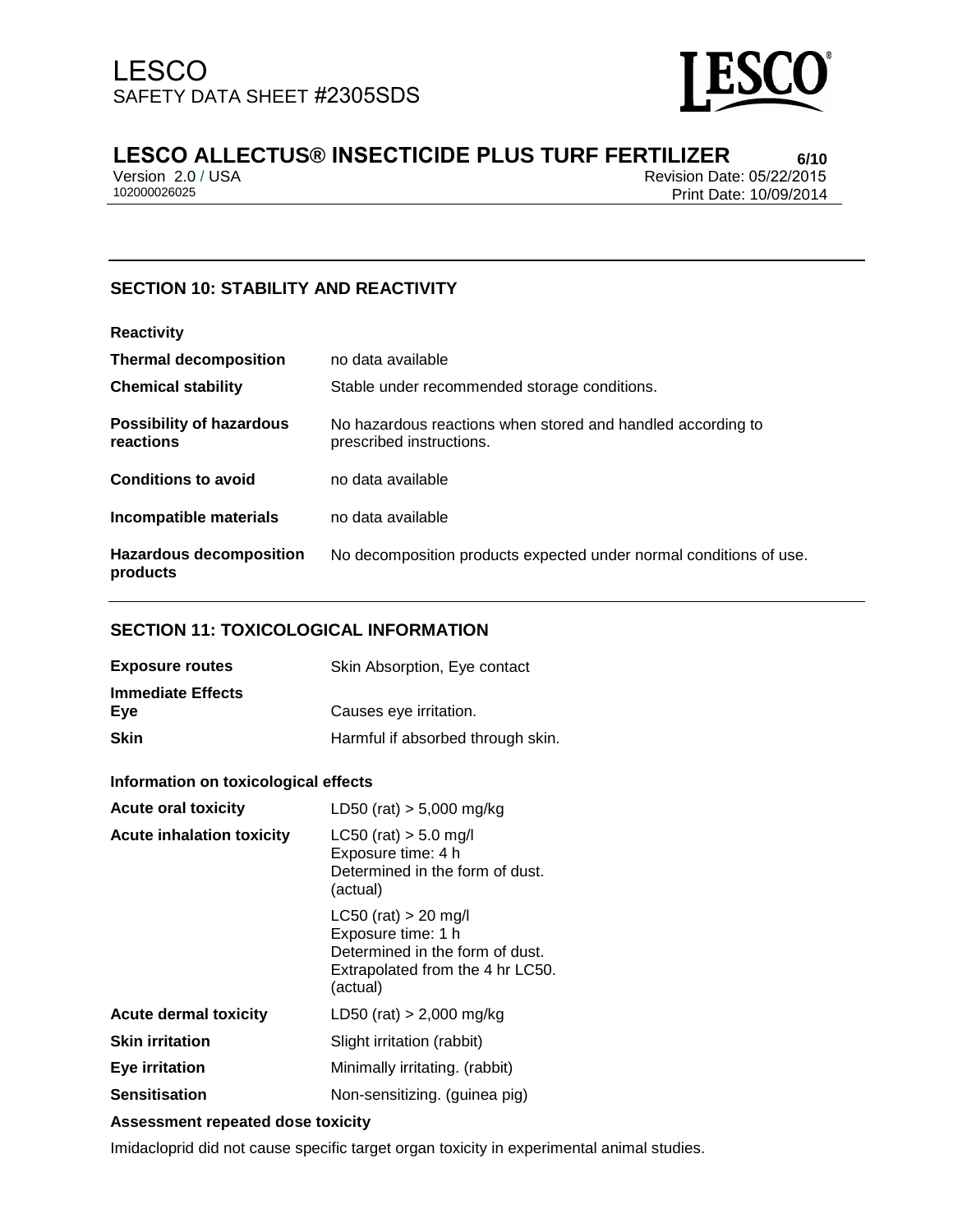

## **LESCO ALLECTUS® INSECTICIDE PLUS TURF FERTILIZER 6/10**

Version 2.0 / USA Revision Date: 05/22/2015<br>102000026025 Print Date: 10/09/2014 Print Date: 10/09/2014

## **SECTION 10: STABILITY AND REACTIVITY**

| <b>Reactivity</b>                            |                                                                                         |
|----------------------------------------------|-----------------------------------------------------------------------------------------|
| <b>Thermal decomposition</b>                 | no data available                                                                       |
| <b>Chemical stability</b>                    | Stable under recommended storage conditions.                                            |
| <b>Possibility of hazardous</b><br>reactions | No hazardous reactions when stored and handled according to<br>prescribed instructions. |
| <b>Conditions to avoid</b>                   | no data available                                                                       |
| Incompatible materials                       | no data available                                                                       |
| <b>Hazardous decomposition</b><br>products   | No decomposition products expected under normal conditions of use.                      |

#### **SECTION 11: TOXICOLOGICAL INFORMATION**

| <b>Exposure routes</b>   | Skin Absorption, Eye contact      |
|--------------------------|-----------------------------------|
| <b>Immediate Effects</b> |                                   |
| Eve                      | Causes eye irritation.            |
| <b>Skin</b>              | Harmful if absorbed through skin. |

#### **Information on toxicological effects**

| <b>Acute oral toxicity</b>       | LD50 (rat) $> 5,000$ mg/kg                                                                                                        |
|----------------------------------|-----------------------------------------------------------------------------------------------------------------------------------|
| <b>Acute inhalation toxicity</b> | $LC50$ (rat) $> 5.0$ mg/l<br>Exposure time: 4 h<br>Determined in the form of dust.<br>(actual)                                    |
|                                  | $LC50$ (rat) $> 20$ mg/l<br>Exposure time: 1 h<br>Determined in the form of dust.<br>Extrapolated from the 4 hr LC50.<br>(actual) |
| <b>Acute dermal toxicity</b>     | LD50 (rat) $> 2,000$ mg/kg                                                                                                        |
| <b>Skin irritation</b>           | Slight irritation (rabbit)                                                                                                        |
| Eye irritation                   | Minimally irritating. (rabbit)                                                                                                    |
| <b>Sensitisation</b>             | Non-sensitizing. (guinea pig)                                                                                                     |

#### **Assessment repeated dose toxicity**

Imidacloprid did not cause specific target organ toxicity in experimental animal studies.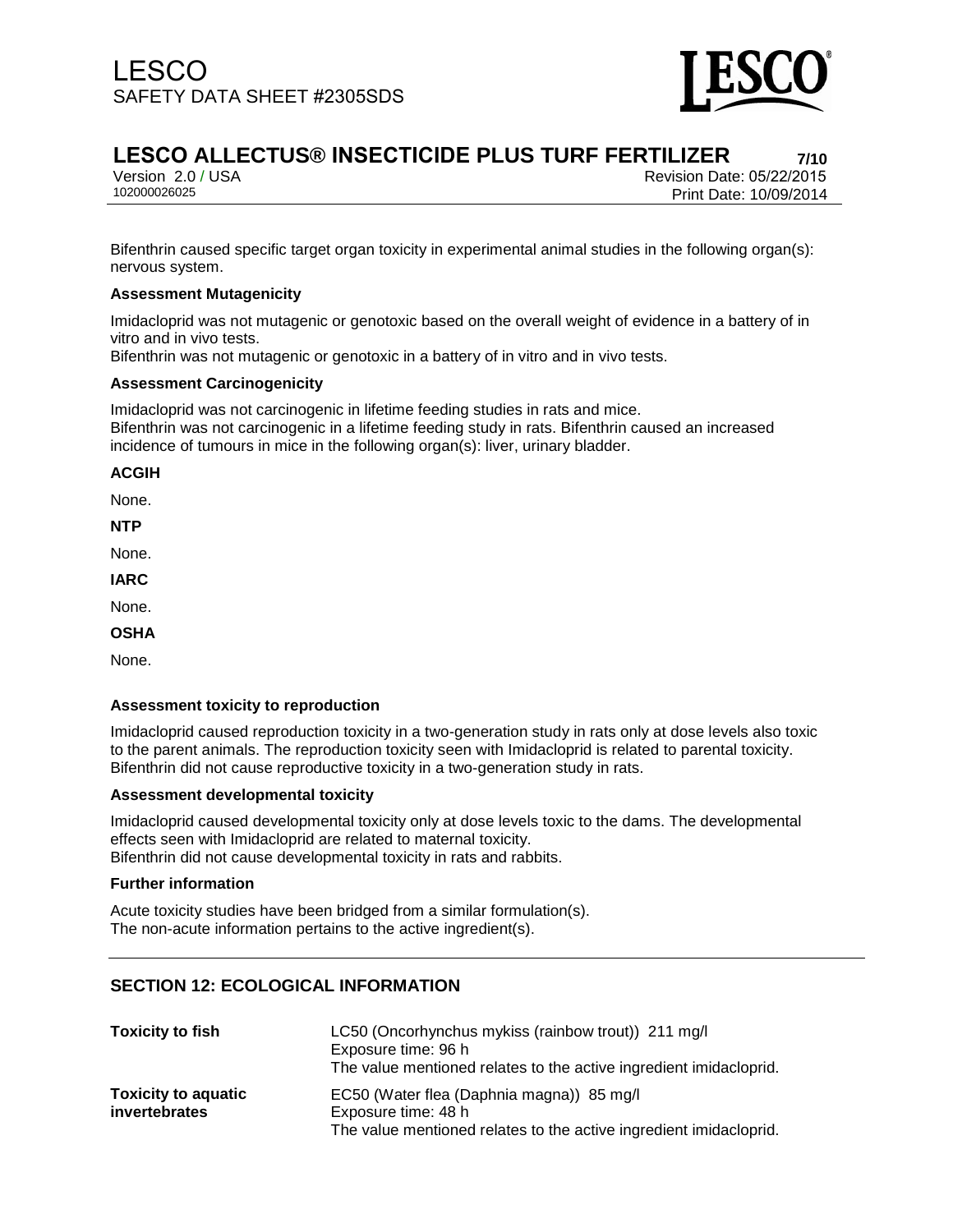

## **LESCO ALLECTUS® INSECTICIDE PLUS TURF FERTILIZER 7/10**

Version 2.0 / USA Revision Date: 05/22/2015<br>102000026025 Print Date: 10/09/2014 Print Date: 10/09/2014

Bifenthrin caused specific target organ toxicity in experimental animal studies in the following organ(s): nervous system.

#### **Assessment Mutagenicity**

Imidacloprid was not mutagenic or genotoxic based on the overall weight of evidence in a battery of in vitro and in vivo tests.

Bifenthrin was not mutagenic or genotoxic in a battery of in vitro and in vivo tests.

#### **Assessment Carcinogenicity**

Imidacloprid was not carcinogenic in lifetime feeding studies in rats and mice. Bifenthrin was not carcinogenic in a lifetime feeding study in rats. Bifenthrin caused an increased incidence of tumours in mice in the following organ(s): liver, urinary bladder.

#### **ACGIH**

None.

**NTP**

None.

**IARC**

None.

**OSHA**

None.

#### **Assessment toxicity to reproduction**

Imidacloprid caused reproduction toxicity in a two-generation study in rats only at dose levels also toxic to the parent animals. The reproduction toxicity seen with Imidacloprid is related to parental toxicity. Bifenthrin did not cause reproductive toxicity in a two-generation study in rats.

#### **Assessment developmental toxicity**

Imidacloprid caused developmental toxicity only at dose levels toxic to the dams. The developmental effects seen with Imidacloprid are related to maternal toxicity. Bifenthrin did not cause developmental toxicity in rats and rabbits.

#### **Further information**

Acute toxicity studies have been bridged from a similar formulation(s). The non-acute information pertains to the active ingredient(s).

#### **SECTION 12: ECOLOGICAL INFORMATION**

| <b>Toxicity to fish</b>                            | LC50 (Oncorhynchus mykiss (rainbow trout)) 211 mg/l<br>Exposure time: 96 h<br>The value mentioned relates to the active ingredient imidacloprid. |
|----------------------------------------------------|--------------------------------------------------------------------------------------------------------------------------------------------------|
| <b>Toxicity to aquatic</b><br><i>invertebrates</i> | EC50 (Water flea (Daphnia magna)) 85 mg/l<br>Exposure time: 48 h<br>The value mentioned relates to the active ingredient imidacloprid.           |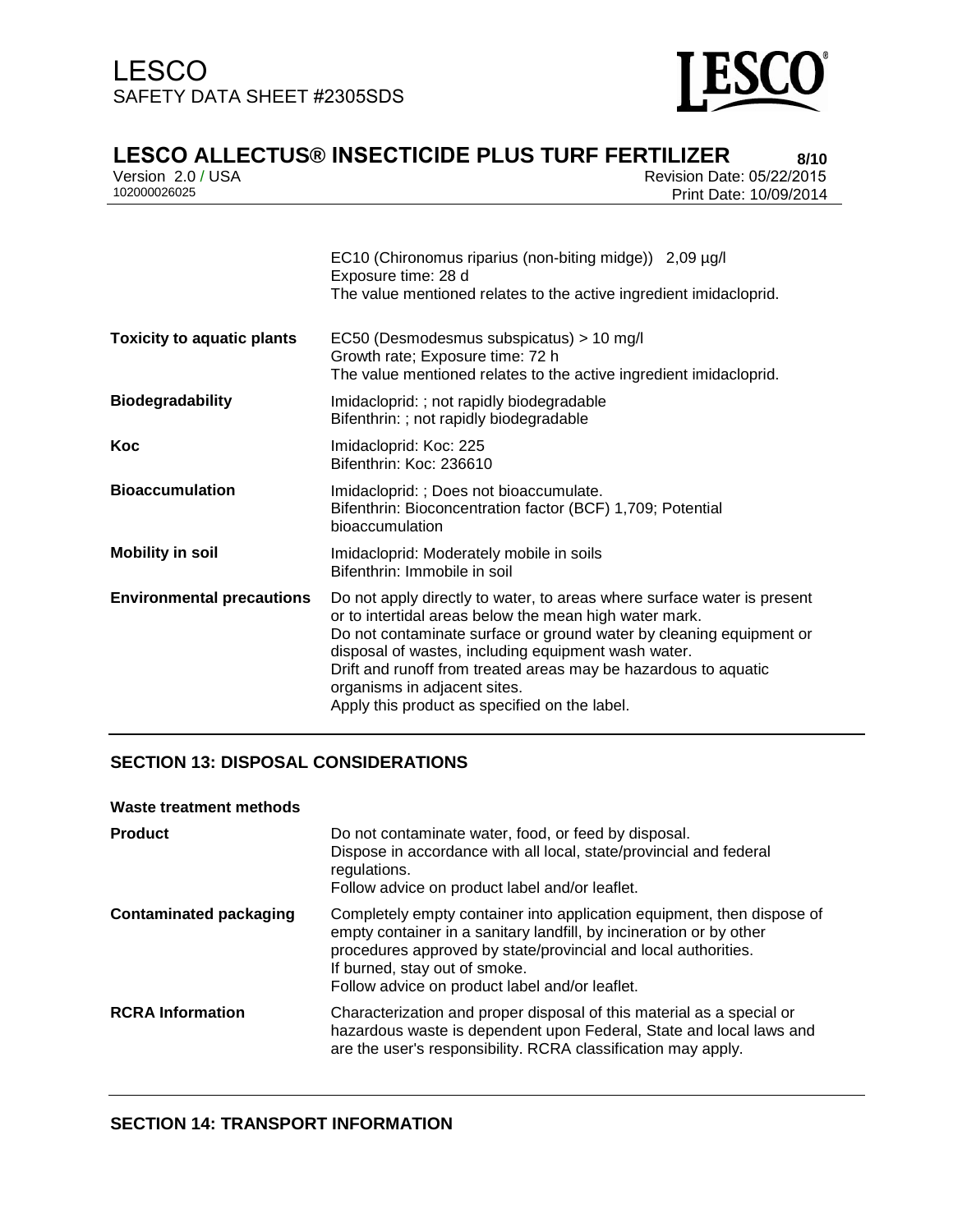

**LESCO ALLECTUS® INSECTICIDE PLUS TURF FERTILIZER**<br>**Prevision 2.0 / USA Prevision Date: 05/22/2015** 

Version 2.0 / USA Revision Date: 05/22/2015<br>102000026025 Print Date: 10/09/2014 Print Date: 10/09/2014

|                                   | EC10 (Chironomus riparius (non-biting midge)) 2,09 µg/l<br>Exposure time: 28 d<br>The value mentioned relates to the active ingredient imidacloprid.                                                                                                                                                                                                                                                                |
|-----------------------------------|---------------------------------------------------------------------------------------------------------------------------------------------------------------------------------------------------------------------------------------------------------------------------------------------------------------------------------------------------------------------------------------------------------------------|
| <b>Toxicity to aquatic plants</b> | EC50 (Desmodesmus subspicatus) > 10 mg/l<br>Growth rate; Exposure time: 72 h<br>The value mentioned relates to the active ingredient imidacloprid.                                                                                                                                                                                                                                                                  |
| <b>Biodegradability</b>           | Imidacloprid: ; not rapidly biodegradable<br>Bifenthrin: ; not rapidly biodegradable                                                                                                                                                                                                                                                                                                                                |
| Koc                               | Imidacloprid: Koc: 225<br>Bifenthrin: Koc: 236610                                                                                                                                                                                                                                                                                                                                                                   |
| <b>Bioaccumulation</b>            | Imidacloprid: ; Does not bioaccumulate.<br>Bifenthrin: Bioconcentration factor (BCF) 1,709; Potential<br>bioaccumulation                                                                                                                                                                                                                                                                                            |
| <b>Mobility in soil</b>           | Imidacloprid: Moderately mobile in soils<br>Bifenthrin: Immobile in soil                                                                                                                                                                                                                                                                                                                                            |
| <b>Environmental precautions</b>  | Do not apply directly to water, to areas where surface water is present<br>or to intertidal areas below the mean high water mark.<br>Do not contaminate surface or ground water by cleaning equipment or<br>disposal of wastes, including equipment wash water.<br>Drift and runoff from treated areas may be hazardous to aquatic<br>organisms in adjacent sites.<br>Apply this product as specified on the label. |

## **SECTION 13: DISPOSAL CONSIDERATIONS**

#### **Waste treatment methods**

| <b>Product</b>                | Do not contaminate water, food, or feed by disposal.<br>Dispose in accordance with all local, state/provincial and federal<br>regulations.<br>Follow advice on product label and/or leaflet.                                                                                                       |
|-------------------------------|----------------------------------------------------------------------------------------------------------------------------------------------------------------------------------------------------------------------------------------------------------------------------------------------------|
| <b>Contaminated packaging</b> | Completely empty container into application equipment, then dispose of<br>empty container in a sanitary landfill, by incineration or by other<br>procedures approved by state/provincial and local authorities.<br>If burned, stay out of smoke.<br>Follow advice on product label and/or leaflet. |
| <b>RCRA</b> Information       | Characterization and proper disposal of this material as a special or<br>hazardous waste is dependent upon Federal, State and local laws and<br>are the user's responsibility. RCRA classification may apply.                                                                                      |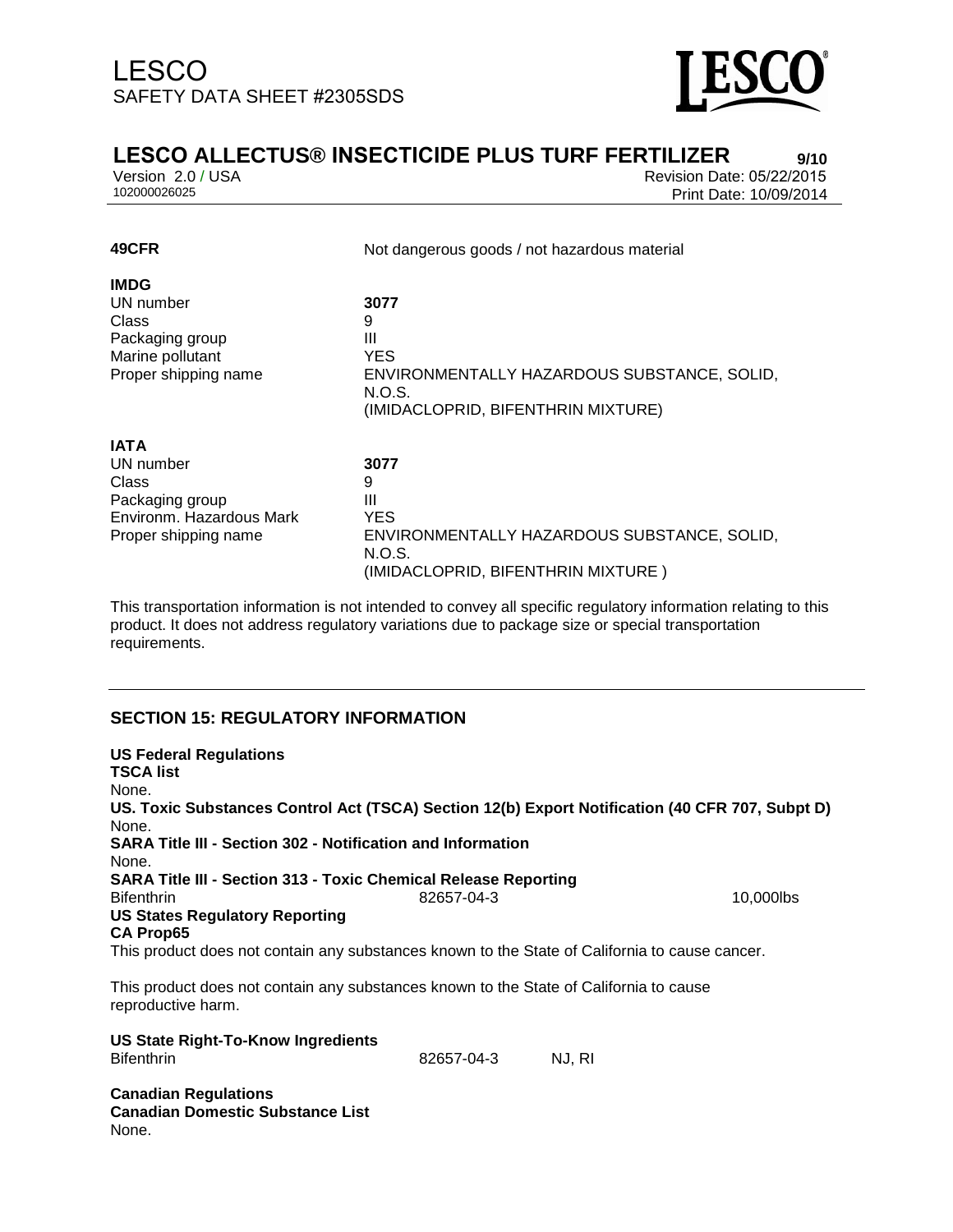

## **LESCO ALLECTUS® INSECTICIDE PLUS TURF FERTILIZER** 9/10<br>
Version 2.0 / USA<br>
Revision Date: 05/22/2015

Version 2.0 / USA Revision Date: 05/22/2015<br>102000026025 Print Date: 10/09/2014 Print Date: 10/09/2014

| 49CFR                    | Not dangerous goods / not hazardous material |  |  |
|--------------------------|----------------------------------------------|--|--|
| <b>IMDG</b>              |                                              |  |  |
| UN number                | 3077                                         |  |  |
| Class                    | 9                                            |  |  |
| Packaging group          | Ш                                            |  |  |
| Marine pollutant         | YES.                                         |  |  |
| Proper shipping name     | ENVIRONMENTALLY HAZARDOUS SUBSTANCE, SOLID,  |  |  |
|                          | N.O.S.                                       |  |  |
|                          | (IMIDACLOPRID, BIFENTHRIN MIXTURE)           |  |  |
|                          |                                              |  |  |
| <b>IATA</b>              |                                              |  |  |
| UN number                | 3077                                         |  |  |
| <b>Class</b>             | 9                                            |  |  |
| Packaging group          | Ш                                            |  |  |
| Environm. Hazardous Mark | <b>YES</b>                                   |  |  |
| Proper shipping name     | ENVIRONMENTALLY HAZARDOUS SUBSTANCE, SOLID,  |  |  |
|                          | N.O.S.                                       |  |  |
|                          | (IMIDACLOPRID, BIFENTHRIN MIXTURE)           |  |  |

This transportation information is not intended to convey all specific regulatory information relating to this product. It does not address regulatory variations due to package size or special transportation requirements.

### **SECTION 15: REGULATORY INFORMATION**

| <b>US Federal Regulations</b><br><b>TSCA list</b>                  |                                                                                                 |           |
|--------------------------------------------------------------------|-------------------------------------------------------------------------------------------------|-----------|
| None.                                                              |                                                                                                 |           |
| None.                                                              | US. Toxic Substances Control Act (TSCA) Section 12(b) Export Notification (40 CFR 707, Subpt D) |           |
| <b>SARA Title III - Section 302 - Notification and Information</b> |                                                                                                 |           |
| None.                                                              |                                                                                                 |           |
|                                                                    | <b>SARA Title III - Section 313 - Toxic Chemical Release Reporting</b>                          |           |
| <b>Bifenthrin</b>                                                  | 82657-04-3                                                                                      | 10.000lbs |
| <b>US States Regulatory Reporting</b><br><b>CA Prop65</b>          |                                                                                                 |           |
|                                                                    | This product does not contain any substances known to the State of California to cause cancer.  |           |
| reproductive harm.                                                 | This product does not contain any substances known to the State of California to cause          |           |

| US State Right-To-Know Ingredients<br><b>Bifenthrin</b>                         | 82657-04-3 | NJ. RI |
|---------------------------------------------------------------------------------|------------|--------|
| <b>Canadian Regulations</b><br><b>Canadian Domestic Substance List</b><br>None. |            |        |